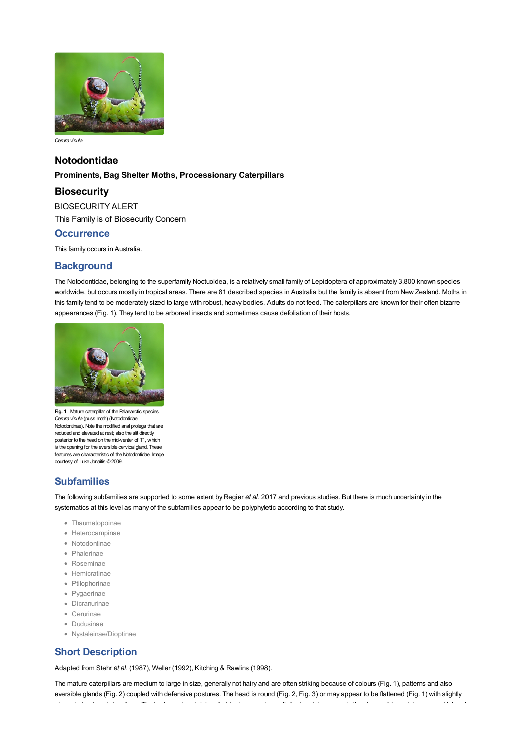

*Cerura vinula*

## **Notodontidae**

### **Prominents, Bag Shelter Moths, Processionary Caterpillars**

## **Biosecurity**

BIOSECURITY ALERT This Family is of Biosecurity Concern

## **Occurrence**

This family occurs in Australia.

## **Background**

The Notodontidae, belonging to the [superfamily](file:///C:/Users/mathewt/AppData/Local/Temp/glossary.pdf#Caterpillar%20Key_superfamily) Noctuoidea, is a relatively small family of Lepidoptera of approximately 3,800 known species worldwide, but occurs mostly in tropical areas. There are 81 described species in Australia but the family is absent from New Zealand. Moths in this family tend to be moderately sized to large with robust, heavy bodies. Adults do not feed. The caterpillars are known for their often bizarre appearances (Fig. 1). They tend to be arboreal insects and sometimes cause defoliation of their hosts.



**Fig. 1**. Mature caterpillar of the Palaearctic species *Cerura vinula* (puss moth) (Notodontidae: Notodontinae). Note the modified anal prolegs that are reduced and elevated at rest; also the slit directly posterior to the head on the mid-venter of T1, which is the opening for the eversible cervical gland. These features are characteristic of the Notodontidae. Image courtesy of Luke Jonaitis ©2009.

# **Subfamilies**

The following subfamilies are supported to some extent by Regier *et al*. 2017 and previous studies. But there is much uncertainty in the systematics at this level as many of the subfamilies appear to be polyphyletic according to that study.

- Thaumetopoinae
- Heterocampinae
- Notodontinae
- Phalerinae
- Roseminae
- Hemicratinae
- Ptilophorinae
- Pygaerinae
- Dicranurinae
- Cerurinae
- Dudusinae
- Nystaleinae/Dioptinae

# **Short Description**

Adapted from Stehr *et al*. (1987), Weller (1992), Kitching & Rawlins (1998).

The mature caterpillars are medium to large in size, generally not hairy and are often striking because of colours (Fig. 1), patterns and also [eversible](file:///C:/Users/mathewt/AppData/Local/Temp/glossary.pdf#Caterpillar%20Key_eversible) glands (Fig. 2) coupled with defensive postures. The head is round (Fig. 2, Fig. 3) or may appear to be flattened (Fig. 1) with slightly<br>elongated epicranial vertices. The body can be plainly cylindrical, or may have distinct protuberances in the shape of 'horns', humps and tubercles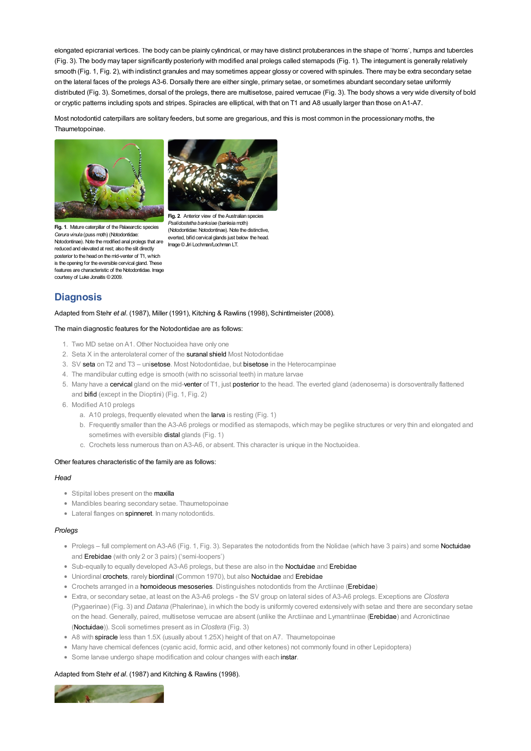elongated [epicranial](file:///C:/Users/mathewt/AppData/Local/Temp/glossary.pdf#Caterpillar%20Key_epicranial) vertices. The body can be plainly cylindrical, or may have distinct protuberances in the shape of 'horns', humps and tubercles (Fig. 3). The body may taper significantly posteriorly with modified anal [prolegs](file:///C:/Users/mathewt/AppData/Local/Temp/glossary.pdf#Caterpillar%20Key_prolegs) called stemapods (Fig. 1). The integument is generally relatively smooth (Fig. 1, Fig. 2), with indistinct granules and may sometimes appear glossy or covered with [spinules](file:///C:/Users/mathewt/AppData/Local/Temp/glossary.pdf#Caterpillar%20Key_spinules). There may be extra [secondary](file:///C:/Users/mathewt/AppData/Local/Temp/glossary.pdf#Caterpillar%20Key_secondary%20setae) setae on the [lateral](file:///C:/Users/mathewt/AppData/Local/Temp/glossary.pdf#Caterpillar%20Key_lateral) faces of the prolegs A3-6. Dorsally there are either single, [primary](file:///C:/Users/mathewt/AppData/Local/Temp/glossary.pdf#Caterpillar%20Key_primary%20setae) setae, or sometimes abundant secondary setae uniformly distributed (Fig. 3). Sometimes, [dorsal](file:///C:/Users/mathewt/AppData/Local/Temp/glossary.pdf#Caterpillar%20Key_dorsal) of the prolegs, there are multisetose, paired [verrucae](file:///C:/Users/mathewt/AppData/Local/Temp/glossary.pdf#Caterpillar%20Key_verrucae) (Fig. 3). The body shows a very wide diversity of bold or cryptic patterns including spots and stripes. Spiracles are elliptical, with that on T1 and A8 usually larger than those on A1-A7.

Most notodontid caterpillars are solitary feeders, but some are gregarious, and this is most common in the processionary moths, the Thaumetopoinae.



**Fig. 1**. Mature caterpillar of the Palaearctic species *Cerura vinula* (puss moth) (Notodontidae: Notodontinae). Note the modified anal prolegs that are reduced and elevated at rest; also the slit directly posterior to the head on the mid-venter of T1, which is the opening for the eversible cervical gland. These features are characteristic of the Notodontidae. Image courtesy of Luke Jonaitis ©2009.



**Fig. 2**. Anterior view of the Australian species *Psalidostetha banksiae* (banksia moth) (Notodontidae: Notodontinae). Note the distinctive, everted, bifid cervical glands just below the head. Image©Jiri Lochman/Lochman LT.

# **Diagnosis**

#### Adapted from Stehr *et al*. (1987), Miller (1991), Kitching & Rawlins (1998), Schintlmeister (2008).

#### The main diagnostic features for the Notodontidae are as follows:

- 1. Two MD setae on A1. Other Noctuoidea have only one
- 2. Seta X in the anterolateral corner of the [suranal](file:///C:/Users/mathewt/AppData/Local/Temp/glossary.pdf#Caterpillar%20Key_suranal) [shield](file:///C:/Users/mathewt/AppData/Local/Temp/glossary.pdf#Caterpillar%20Key_shield) Most Notodontidae
- 3. SV [seta](file:///C:/Users/mathewt/AppData/Local/Temp/glossary.pdf#Caterpillar%20Key_seta) on T2 and T3 un[isetose](file:///C:/Users/mathewt/AppData/Local/Temp/glossary.pdf#Caterpillar%20Key_setose). Most Notodontidae, but [bisetose](file:///C:/Users/mathewt/AppData/Local/Temp/glossary.pdf#Caterpillar%20Key_bisetose) in the Heterocampinae
- 4. The mandibular cutting edge is smooth (with no scissorial teeth) in mature larvae
- 5. Many have a [cervical](file:///C:/Users/mathewt/AppData/Local/Temp/glossary.pdf#Caterpillar%20Key_cervical) gland on the mid[-venter](file:///C:/Users/mathewt/AppData/Local/Temp/glossary.pdf#Caterpillar%20Key_venter) of T1, just [posterior](file:///C:/Users/mathewt/AppData/Local/Temp/glossary.pdf#Caterpillar%20Key_posterior) to the head. The everted gland (adenosema) is dorsoventrally flattened and [bifid](file:///C:/Users/mathewt/AppData/Local/Temp/glossary.pdf#Caterpillar%20Key_bifid) (except in the Dioptini) (Fig. 1, Fig. 2)
- 6. Modified A10 prolegs
	- a. A10 prolegs, frequently elevated when the [larva](file:///C:/Users/mathewt/AppData/Local/Temp/glossary.pdf#Caterpillar%20Key_larva) is resting (Fig. 1)
	- b. Frequently smaller than the A3-A6 prolegs or modified as stemapods, which may be peglike structures or very thin and elongated and sometimes with eversible **[distal](file:///C:/Users/mathewt/AppData/Local/Temp/glossary.pdf#Caterpillar%20Key_distal)** glands (Fig. 1)
	- c. Crochets less numerous than on A3-A6, or absent. This character is unique in the Noctuoidea.

#### Other features characteristic of the family are as follows:

#### *Head*

- Stipital lobes present on the [maxilla](file:///C:/Users/mathewt/AppData/Local/Temp/glossary.pdf#Caterpillar%20Key_maxilla)
- Mandibles bearing secondary setae. Thaumetopoinae
- Lateral flanges on [spinneret](file:///C:/Users/mathewt/AppData/Local/Temp/glossary.pdf#Caterpillar%20Key_spinneret). In many notodontids.

#### *Prolegs*

- Prolegs full complement on A3-A6 (Fig. 1, Fig. 3). Separates the notodontids from the Nolidae (which have 3 pairs) and some [Noctuidae](file:///C:/Users/mathewt/AppData/Local/Temp/noctuidae.pdf) and [Erebidae](file:///C:/Users/mathewt/AppData/Local/Temp/erebidae.pdf) (with only 2 or 3 pairs) ('semi-loopers')
- Sub-equally to equally developed A3-A6 prolegs, but these are also in the [Noctuidae](file:///C:/Users/mathewt/AppData/Local/Temp/noctuidae.pdf) and [Erebidae](file:///C:/Users/mathewt/AppData/Local/Temp/erebidae.pdf)
- Uniordinal [crochets](file:///C:/Users/mathewt/AppData/Local/Temp/glossary.pdf#Caterpillar%20Key_crochets), rarely [biordinal](file:///C:/Users/mathewt/AppData/Local/Temp/glossary.pdf#Caterpillar%20Key_biordinal) (Common 1970), but also [Noctuidae](file:///C:/Users/mathewt/AppData/Local/Temp/noctuidae.pdf) and [Erebidae](file:///C:/Users/mathewt/AppData/Local/Temp/erebidae.pdf)
- Crochets arranged in a [homoideous](file:///C:/Users/mathewt/AppData/Local/Temp/glossary.pdf#Caterpillar%20Key_homoideous) [mesoseries](file:///C:/Users/mathewt/AppData/Local/Temp/glossary.pdf#Caterpillar%20Key_mesoseries). Distinguishes notodontids from the Arctiinae [\(Erebidae](file:///C:/Users/mathewt/AppData/Local/Temp/erebidae.pdf))
- Extra, or secondary setae, at least on the A3-A6 prolegs the SV group on lateral sides of A3-A6 prolegs. Exceptions are *Clostera* (Pygaerinae) (Fig. 3) and *Datana* (Phalerinae), in which the body is uniformly covered extensively with setae and there are secondary setae on the head. Generally, paired, multisetose verrucae are absent (unlike the Arctiinae and Lymantriinae [\(Erebidae](file:///C:/Users/mathewt/AppData/Local/Temp/erebidae.pdf)) and Acronictinae [\(Noctuidae](file:///C:/Users/mathewt/AppData/Local/Temp/noctuidae.pdf))). Scoli sometimes present as in *Clostera* (Fig. 3)
- A8 with [spiracle](file:///C:/Users/mathewt/AppData/Local/Temp/glossary.pdf#Caterpillar%20Key_spiracle) less than 1.5X (usually about 1.25X) height of that on A7. Thaumetopoinae
- Many have chemical defences (cyanic acid, formic acid, and other ketones) not commonly found in other Lepidoptera)
- Some larvae undergo shape modification and colour changes with each [instar](file:///C:/Users/mathewt/AppData/Local/Temp/glossary.pdf#Caterpillar%20Key_instar).

#### Adapted from Stehr *et al*. (1987) and Kitching & Rawlins (1998).

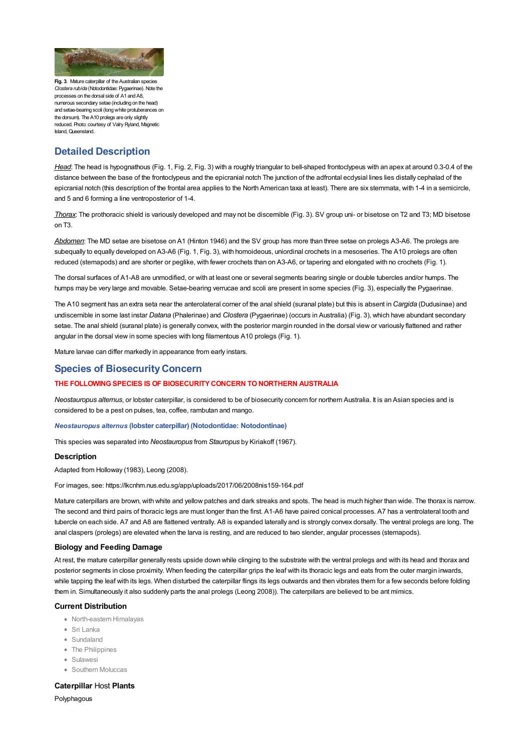

**Fig. 3. Mature caterpillar of the Australian specie** *Clostera rubida* (Notodontidae: Pygaerinae). Note the processes on the dorsal side of A1 and A8, numerous secondary setae (including on the head) and setae-bearing scoli (longwhite protuberances on the dorsum). The A10 prolegs are only slightly reduced. Photo: courtesy of Valry Ryland, Magnetic Island, Queensland.

# **Detailed Description**

*Head*: The head is [hypognathous](file:///C:/Users/mathewt/AppData/Local/Temp/glossary.pdf#Caterpillar%20Key_hypognathous) (Fig. 1, Fig. 2, Fig. 3) with a roughly triangular to bell-shaped [frontoclypeus](file:///C:/Users/mathewt/AppData/Local/Temp/glossary.pdf#Caterpillar%20Key_frontoclypeus) with an [apex](file:///C:/Users/mathewt/AppData/Local/Temp/glossary.pdf#Caterpillar%20Key_apex) at around 0.3-0.4 of the distance between the base of the frontoclypeus and the epicranial notch The junction of the adfrontal [ecdysial](file:///C:/Users/mathewt/AppData/Local/Temp/glossary.pdf#Caterpillar%20Key_ecdysial%20lines) lines lies distally [cephalad](file:///C:/Users/mathewt/AppData/Local/Temp/glossary.pdf#Caterpillar%20Key_cephalad) of the epicranial notch (this description of the frontal area applies to the North American taxa at least). There are six [stemmata](file:///C:/Users/mathewt/AppData/Local/Temp/glossary.pdf#Caterpillar%20Key_stemmata), with 1-4 in a semicircle, and 5 and 6 forming a line ventroposterior of 1-4.

*Thorax*: The [prothoracic](file:///C:/Users/mathewt/AppData/Local/Temp/glossary.pdf#Caterpillar%20Key_prothoracic%20shield) shield is variously developed and may not be discernible (Fig. 3). SV group uni- or bisetose on T2 and T3; MD bisetose on T3.

*Abdomen*: The MD setae are bisetose on A1 (Hinton 1946) and the SV group has more than three setae on prolegs A3-A6. The prolegs are subequally to equally developed on A3-A6 (Fig. 1, Fig. 3), with homoideous, [uniordina](file:///C:/Users/mathewt/AppData/Local/Temp/glossary.pdf#Caterpillar%20Key_uniordinal)l crochets in a mesoseries. The A10 prolegs are often reduced (stemapods) and are shorter or peglike, with fewer crochets than on A3-A6, or tapering and elongated with no crochets (Fig. 1).

The dorsal surfaces of A1-A8 are unmodified, or with at least one or several segments bearing single or double tubercles and/or humps. The humps may be very large and movable. Setae-bearing verrucae and [scoli](file:///C:/Users/mathewt/AppData/Local/Temp/glossary.pdf#Caterpillar%20Key_scoli) are present in some species (Fig. 3), especially the Pygaerinae.

The A10 segment has an extra seta near the anterolateral corner of the anal shield (suranal [plate](file:///C:/Users/mathewt/AppData/Local/Temp/glossary.pdf#Caterpillar%20Key_plate)) but this is absent in *Cargida* (Dudusinae) and undiscernible in some last instar *Datana* (Phalerinae) and *Clostera* (Pygaerinae) (occurs in Australia) (Fig. 3), which have abundant secondary setae. The anal shield [\(suranal](file:///C:/Users/mathewt/AppData/Local/Temp/glossary.pdf#Caterpillar%20Key_suranal%20plate) plate) is generally convex, with the posterior margin rounded in the dorsal view or variously flattened and rather angular in the dorsal view in some species with long filamentous A10 prolegs (Fig. 1).

Mature larvae can differ markedly in appearance from early instars.

## **Species of Biosecurity Concern**

### **THE FOLLOWINGSPECIES IS OF BIOSECURITYCONCERN TONORTHERN AUSTRALIA**

*Neostauropus alternus*, or lobster [caterpillar](file:///C:/Users/mathewt/AppData/Local/Temp/glossary.pdf#Caterpillar%20Key_caterpillar), is considered to be of biosecurity concern for northern Australia. It is an Asian species and is considered to be a pest on pulses, tea, coffee, rambutan and mango.

#### *Neostauropus alternus* **(lobster caterpillar) (Notodontidae: Notodontinae)**

This species was separated into *Neostauropus* from *Stauropus* by Kiriakoff (1967).

#### **Description**

Adapted from Holloway (1983), Leong (2008).

For images, see: <https://lkcnhm.nus.edu.sg/app/uploads/2017/06/2008nis159-164.pdf>

Mature caterpillars are brown, with white and yellow patches and dark streaks and spots. The head is much higher than wide. The thorax is narrow. The second and third pairs of thoracic legs are must longer than the first. A1-A6 have paired conical processes. A7 has a ventrolateral tooth and tubercle on each side. A7 and A8 are flattened ventrally. A8 is expanded laterally and is strongly convex dorsally. The [ventral](file:///C:/Users/mathewt/AppData/Local/Temp/glossary.pdf#Caterpillar%20Key_ventral) prolegs are long. The anal claspers (prolegs) are elevated when the larva is resting, and are reduced to two slender, angular processes (stemapods).

#### **Biology and Feeding Damage**

At rest, the mature caterpillar generally rests upside down while clinging to the substrate with the ventral [prolegs](file:///C:/Users/mathewt/AppData/Local/Temp/glossary.pdf#Caterpillar%20Key_ventral%20prolegs) and with its head and thorax and posterior segments in close proximity. When feeding the caterpillar grips the leaf with its thoracic legs and eats from the outer margin inwards, while tapping the leaf with its legs. When disturbed the caterpillar flings its legs outwards and then vibrates them for a few seconds before folding them in. Simultaneously it also suddenly parts the anal prolegs (Leong 2008)). The caterpillars are believed to be ant mimics.

#### **Current Distribution**

- North-eastern Himalayas
- Sri Lanka
- Sundaland
- The Philippines
- Sulawesi
- **Southern Moluccas**

## **Caterpillar** [Host](file:///C:/Users/mathewt/AppData/Local/Temp/glossary.pdf#Caterpillar%20Key_host) **Plants**

**[Polyphagous](file:///C:/Users/mathewt/AppData/Local/Temp/glossary.pdf#Caterpillar%20Key_polyphagous)**